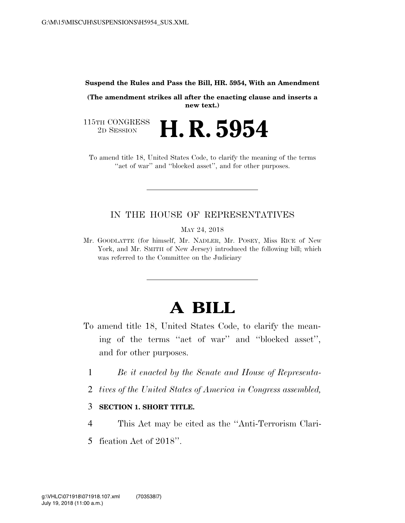#### **Suspend the Rules and Pass the Bill, HR. 5954, With an Amendment**

**(The amendment strikes all after the enacting clause and inserts a new text.)**

115TH CONGRESS<br>2D SESSION **H. R. 5954** 

To amend title 18, United States Code, to clarify the meaning of the terms "act of war" and "blocked asset", and for other purposes.

### IN THE HOUSE OF REPRESENTATIVES

MAY 24, 2018

Mr. GOODLATTE (for himself, Mr. NADLER, Mr. POSEY, Miss RICE of New York, and Mr. SMITH of New Jersey) introduced the following bill; which was referred to the Committee on the Judiciary

# **A BILL**

- To amend title 18, United States Code, to clarify the meaning of the terms ''act of war'' and ''blocked asset'', and for other purposes.
	- 1 *Be it enacted by the Senate and House of Representa-*
	- 2 *tives of the United States of America in Congress assembled,*

### 3 **SECTION 1. SHORT TITLE.**

4 This Act may be cited as the ''Anti-Terrorism Clari-

5 fication Act of 2018''.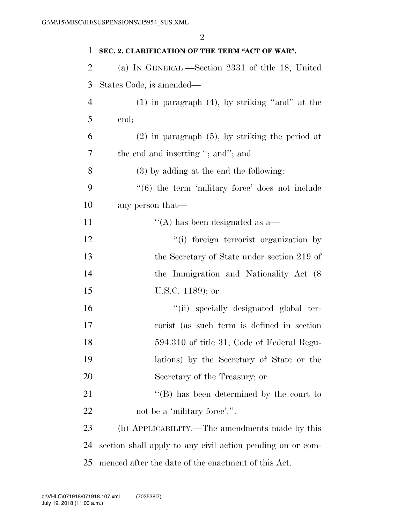| 1              | SEC. 2. CLARIFICATION OF THE TERM "ACT OF WAR".            |
|----------------|------------------------------------------------------------|
| $\overline{2}$ | (a) IN GENERAL.—Section 2331 of title 18, United           |
| 3              | States Code, is amended—                                   |
| $\overline{4}$ | $(1)$ in paragraph $(4)$ , by striking "and" at the        |
| 5              | end;                                                       |
| 6              | $(2)$ in paragraph $(5)$ , by striking the period at       |
| 7              | the end and inserting "; and"; and                         |
| 8              | $(3)$ by adding at the end the following:                  |
| 9              | $((6)$ the term 'military force' does not include          |
| 10             | any person that—                                           |
| 11             | $\cdot$ (A) has been designated as a—                      |
| 12             | "(i) foreign terrorist organization by                     |
| 13             | the Secretary of State under section 219 of                |
| 14             | the Immigration and Nationality Act (8)                    |
| 15             | U.S.C. 1189); or                                           |
| 16             | "(ii) specially designated global ter-                     |
| 17             | rorist (as such term is defined in section                 |
| 18             | 594.310 of title 31, Code of Federal Regu-                 |
| 19             | lations) by the Secretary of State or the                  |
| 20             | Secretary of the Treasury; or                              |
| 21             | $\lq\lq (B)$ has been determined by the court to           |
| 22             | not be a 'military force'.".                               |
| 23             | (b) APPLICABILITY.—The amendments made by this             |
| 24             | section shall apply to any civil action pending on or com- |
| 25             | menced after the date of the enactment of this Act.        |

July 19, 2018 (11:00 a.m.) g:\VHLC\071918\071918.107.xml (703538|7)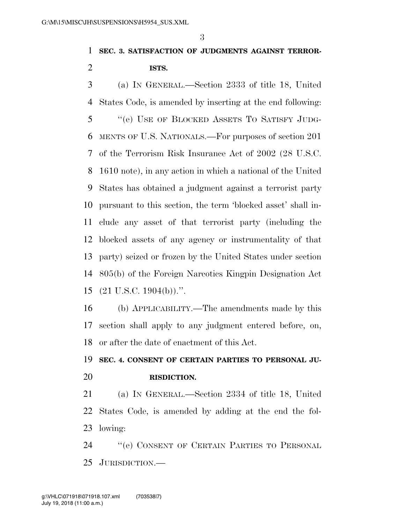## **SEC. 3. SATISFACTION OF JUDGMENTS AGAINST TERROR-ISTS.**

 (a) IN GENERAL.—Section 2333 of title 18, United States Code, is amended by inserting at the end following: ''(e) USE OF BLOCKED ASSETS TO SATISFY JUDG- MENTS OF U.S. NATIONALS.—For purposes of section 201 of the Terrorism Risk Insurance Act of 2002 (28 U.S.C. 1610 note), in any action in which a national of the United States has obtained a judgment against a terrorist party pursuant to this section, the term 'blocked asset' shall in- clude any asset of that terrorist party (including the blocked assets of any agency or instrumentality of that party) seized or frozen by the United States under section 805(b) of the Foreign Narcotics Kingpin Designation Act (21 U.S.C. 1904(b)).''.

 (b) APPLICABILITY.—The amendments made by this section shall apply to any judgment entered before, on, or after the date of enactment of this Act.

## **SEC. 4. CONSENT OF CERTAIN PARTIES TO PERSONAL JU-RISDICTION.**

 (a) IN GENERAL.—Section 2334 of title 18, United States Code, is amended by adding at the end the fol-lowing:

 ''(e) CONSENT OF CERTAIN PARTIES TO PERSONAL JURISDICTION.—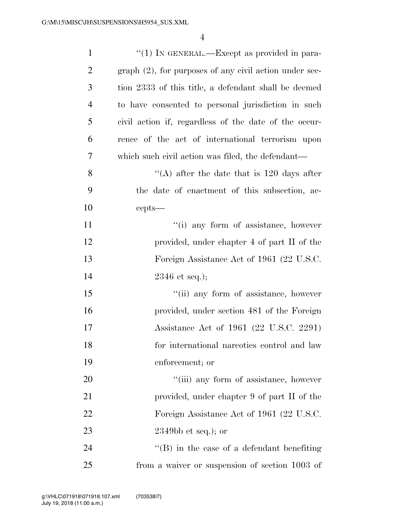| $\mathbf{1}$   | "(1) IN GENERAL.—Except as provided in para-              |
|----------------|-----------------------------------------------------------|
| $\overline{2}$ | $graph (2)$ , for purposes of any civil action under sec- |
| 3              | tion 2333 of this title, a defendant shall be deemed      |
| $\overline{4}$ | to have consented to personal jurisdiction in such        |
| 5              | civil action if, regardless of the date of the occur-     |
| 6              | rence of the act of international terrorism upon          |
| 7              | which such civil action was filed, the defendant—         |
| 8              | "(A) after the date that is $120$ days after              |
| 9              | the date of enactment of this subsection, ac-             |
| 10             | cepts—                                                    |
| 11             | "(i) any form of assistance, however                      |
| 12             | provided, under chapter 4 of part II of the               |
| 13             | Foreign Assistance Act of 1961 (22 U.S.C.                 |
| 14             | $2346$ et seq.);                                          |
| 15             | "(ii) any form of assistance, however                     |
| 16             | provided, under section 481 of the Foreign                |
| 17             | Assistance Act of 1961 (22 U.S.C. 2291)                   |
| 18             | for international narcotics control and law               |
| 19             | enforcement; or                                           |
| 20             | "(iii) any form of assistance, however                    |
| 21             | provided, under chapter 9 of part II of the               |
| 22             | Foreign Assistance Act of 1961 (22 U.S.C.                 |
| 23             | $2349bb$ et seq.); or                                     |
| 24             | $\lq\lq (B)$ in the case of a defendant benefiting        |
| 25             | from a waiver or suspension of section 1003 of            |